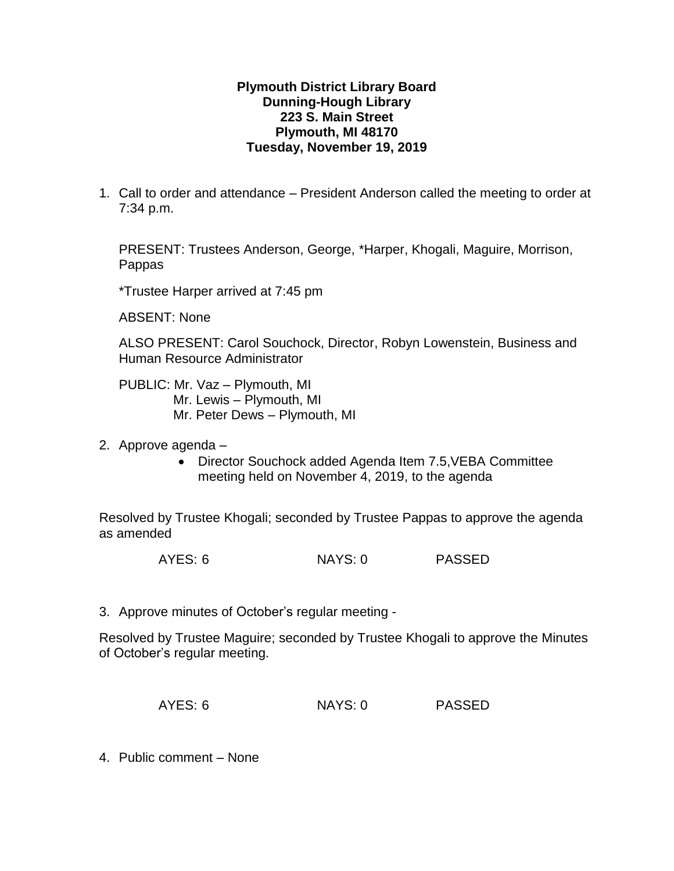### **Plymouth District Library Board Dunning-Hough Library 223 S. Main Street Plymouth, MI 48170 Tuesday, November 19, 2019**

1. Call to order and attendance – President Anderson called the meeting to order at 7:34 p.m.

PRESENT: Trustees Anderson, George, \*Harper, Khogali, Maguire, Morrison, Pappas

\*Trustee Harper arrived at 7:45 pm

ABSENT: None

ALSO PRESENT: Carol Souchock, Director, Robyn Lowenstein, Business and Human Resource Administrator

PUBLIC: Mr. Vaz – Plymouth, MI Mr. Lewis – Plymouth, MI Mr. Peter Dews – Plymouth, MI

- 2. Approve agenda
	- Director Souchock added Agenda Item 7.5,VEBA Committee meeting held on November 4, 2019, to the agenda

Resolved by Trustee Khogali; seconded by Trustee Pappas to approve the agenda as amended

AYES: 6 NAYS: 0 PASSED

3. Approve minutes of October's regular meeting -

Resolved by Trustee Maguire; seconded by Trustee Khogali to approve the Minutes of October's regular meeting.

| AYES: 6<br>NAYS: 0 | <b>PASSED</b> |
|--------------------|---------------|
|--------------------|---------------|

4. Public comment – None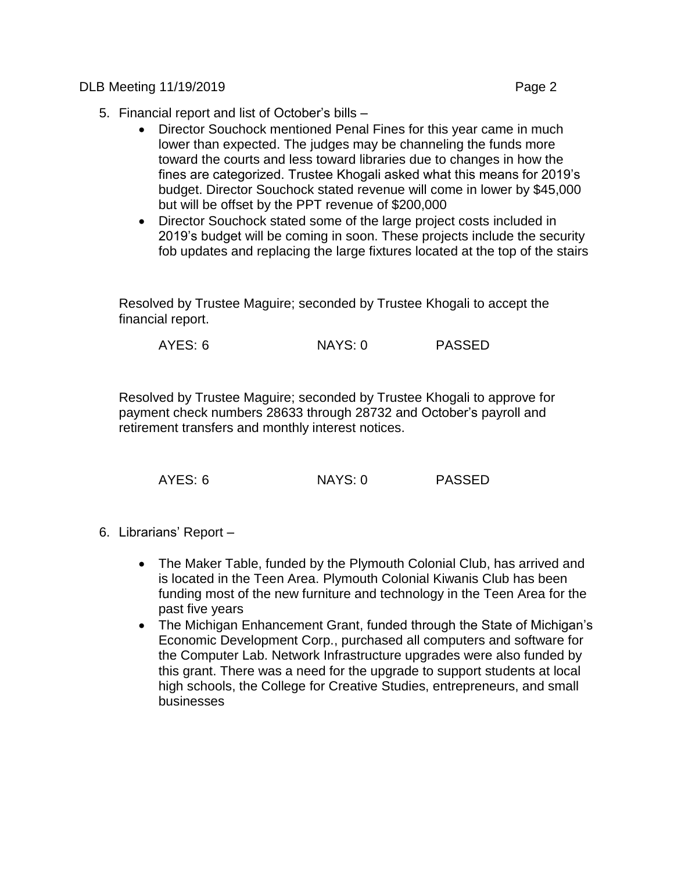DLB Meeting 11/19/2019 Page 2

- 5. Financial report and list of October's bills
	- Director Souchock mentioned Penal Fines for this year came in much lower than expected. The judges may be channeling the funds more toward the courts and less toward libraries due to changes in how the fines are categorized. Trustee Khogali asked what this means for 2019's budget. Director Souchock stated revenue will come in lower by \$45,000 but will be offset by the PPT revenue of \$200,000
	- Director Souchock stated some of the large project costs included in 2019's budget will be coming in soon. These projects include the security fob updates and replacing the large fixtures located at the top of the stairs

Resolved by Trustee Maguire; seconded by Trustee Khogali to accept the financial report.

AYES: 6 NAYS: 0 PASSED

Resolved by Trustee Maguire; seconded by Trustee Khogali to approve for payment check numbers 28633 through 28732 and October's payroll and retirement transfers and monthly interest notices.

AYES: 6 NAYS: 0 PASSED

- 6. Librarians' Report
	- The Maker Table, funded by the Plymouth Colonial Club, has arrived and is located in the Teen Area. Plymouth Colonial Kiwanis Club has been funding most of the new furniture and technology in the Teen Area for the past five years
	- The Michigan Enhancement Grant, funded through the State of Michigan's Economic Development Corp., purchased all computers and software for the Computer Lab. Network Infrastructure upgrades were also funded by this grant. There was a need for the upgrade to support students at local high schools, the College for Creative Studies, entrepreneurs, and small businesses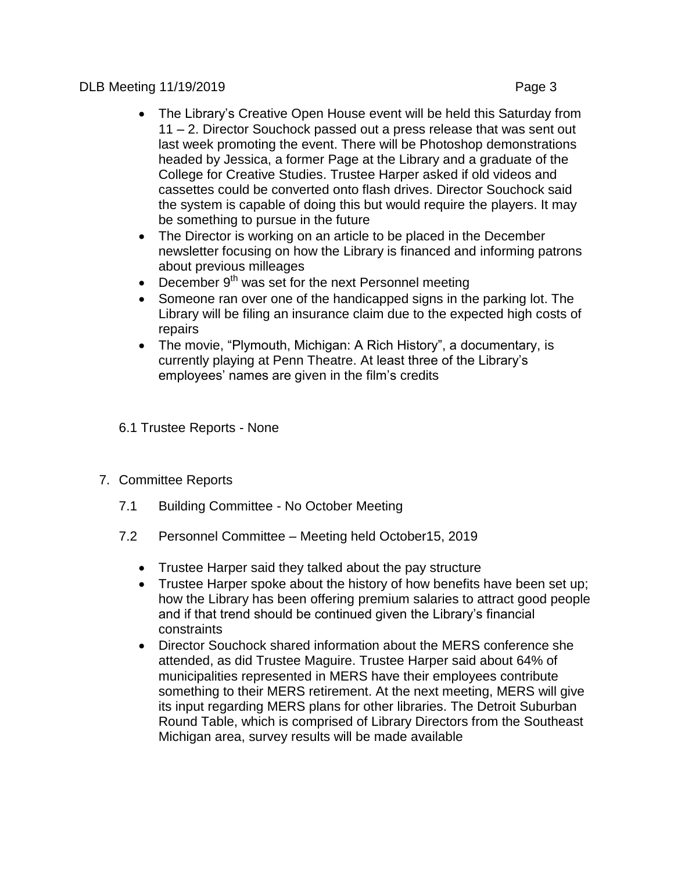## DLB Meeting 11/19/2019 Page 3

- The Library's Creative Open House event will be held this Saturday from 11 – 2. Director Souchock passed out a press release that was sent out last week promoting the event. There will be Photoshop demonstrations headed by Jessica, a former Page at the Library and a graduate of the College for Creative Studies. Trustee Harper asked if old videos and cassettes could be converted onto flash drives. Director Souchock said the system is capable of doing this but would require the players. It may be something to pursue in the future
- The Director is working on an article to be placed in the December newsletter focusing on how the Library is financed and informing patrons about previous milleages
- $\bullet$  December 9<sup>th</sup> was set for the next Personnel meeting
- Someone ran over one of the handicapped signs in the parking lot. The Library will be filing an insurance claim due to the expected high costs of repairs
- The movie, "Plymouth, Michigan: A Rich History", a documentary, is currently playing at Penn Theatre. At least three of the Library's employees' names are given in the film's credits
- 6.1 Trustee Reports None
- 7. Committee Reports
	- 7.1 Building Committee No October Meeting
	- 7.2 Personnel Committee Meeting held October15, 2019
		- Trustee Harper said they talked about the pay structure
		- Trustee Harper spoke about the history of how benefits have been set up; how the Library has been offering premium salaries to attract good people and if that trend should be continued given the Library's financial constraints
		- Director Souchock shared information about the MERS conference she attended, as did Trustee Maguire. Trustee Harper said about 64% of municipalities represented in MERS have their employees contribute something to their MERS retirement. At the next meeting, MERS will give its input regarding MERS plans for other libraries. The Detroit Suburban Round Table, which is comprised of Library Directors from the Southeast Michigan area, survey results will be made available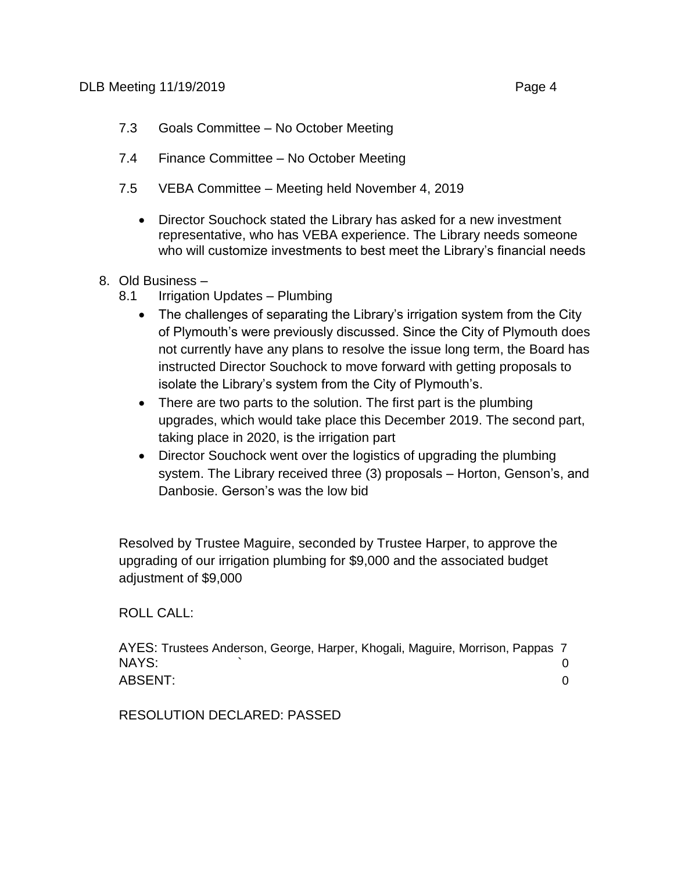- 7.3 Goals Committee No October Meeting
- 7.4 Finance Committee No October Meeting
- 7.5 VEBA Committee Meeting held November 4, 2019
	- Director Souchock stated the Library has asked for a new investment representative, who has VEBA experience. The Library needs someone who will customize investments to best meet the Library's financial needs

# 8. Old Business –

- 8.1 Irrigation Updates Plumbing
	- The challenges of separating the Library's irrigation system from the City of Plymouth's were previously discussed. Since the City of Plymouth does not currently have any plans to resolve the issue long term, the Board has instructed Director Souchock to move forward with getting proposals to isolate the Library's system from the City of Plymouth's.
	- There are two parts to the solution. The first part is the plumbing upgrades, which would take place this December 2019. The second part, taking place in 2020, is the irrigation part
	- Director Souchock went over the logistics of upgrading the plumbing system. The Library received three (3) proposals – Horton, Genson's, and Danbosie. Gerson's was the low bid

Resolved by Trustee Maguire, seconded by Trustee Harper, to approve the upgrading of our irrigation plumbing for \$9,000 and the associated budget adjustment of \$9,000

### ROLL CALL:

AYES: Trustees Anderson, George, Harper, Khogali, Maguire, Morrison, Pappas 7 NAYS:  $\qquad \qquad \qquad 0$ ABSENT: 0

RESOLUTION DECLARED: PASSED